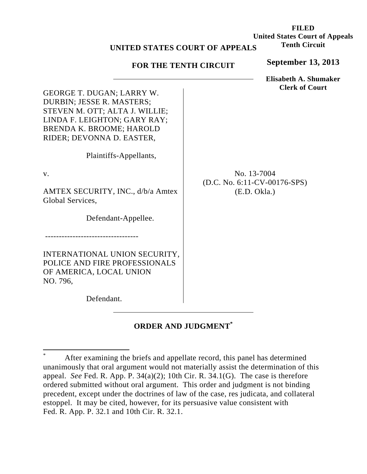## **UNITED STATES COURT OF APPEALS**

## **FOR THE TENTH CIRCUIT**

**September 13, 2013**

**Elisabeth A. Shumaker Clerk of Court**

No. 13-7004 (D.C. No. 6:11-CV-00176-SPS) (E.D. Okla.)

GEORGE T. DUGAN; LARRY W. DURBIN; JESSE R. MASTERS; STEVEN M. OTT; ALTA J. WILLIE; LINDA F. LEIGHTON; GARY RAY; BRENDA K. BROOME; HAROLD RIDER; DEVONNA D. EASTER,

Plaintiffs-Appellants,

v.

AMTEX SECURITY, INC., d/b/a Amtex Global Services,

Defendant-Appellee.

INTERNATIONAL UNION SECURITY, POLICE AND FIRE PROFESSIONALS OF AMERICA, LOCAL UNION NO. 796,

Defendant.

----------------------------------

## **ORDER AND JUDGMENT\***

**FILED United States Court of Appeals Tenth Circuit** 

 \* After examining the briefs and appellate record, this panel has determined unanimously that oral argument would not materially assist the determination of this appeal. *See* Fed. R. App. P. 34(a)(2); 10th Cir. R. 34.1(G). The case is therefore ordered submitted without oral argument. This order and judgment is not binding precedent, except under the doctrines of law of the case, res judicata, and collateral estoppel. It may be cited, however, for its persuasive value consistent with Fed. R. App. P. 32.1 and 10th Cir. R. 32.1.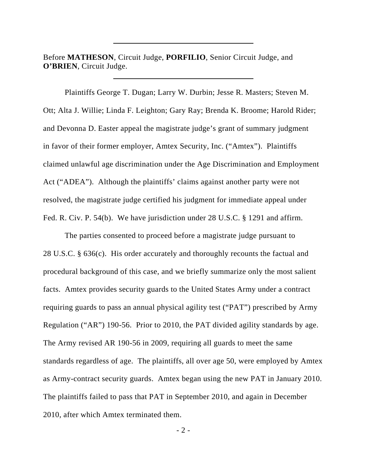Before **MATHESON**, Circuit Judge, **PORFILIO**, Senior Circuit Judge, and **O'BRIEN**, Circuit Judge.

 Plaintiffs George T. Dugan; Larry W. Durbin; Jesse R. Masters; Steven M. Ott; Alta J. Willie; Linda F. Leighton; Gary Ray; Brenda K. Broome; Harold Rider; and Devonna D. Easter appeal the magistrate judge's grant of summary judgment in favor of their former employer, Amtex Security, Inc. ("Amtex"). Plaintiffs claimed unlawful age discrimination under the Age Discrimination and Employment Act ("ADEA"). Although the plaintiffs' claims against another party were not resolved, the magistrate judge certified his judgment for immediate appeal under Fed. R. Civ. P. 54(b). We have jurisdiction under 28 U.S.C. § 1291 and affirm.

 The parties consented to proceed before a magistrate judge pursuant to 28 U.S.C. § 636(c). His order accurately and thoroughly recounts the factual and procedural background of this case, and we briefly summarize only the most salient facts. Amtex provides security guards to the United States Army under a contract requiring guards to pass an annual physical agility test ("PAT") prescribed by Army Regulation ("AR") 190-56. Prior to 2010, the PAT divided agility standards by age. The Army revised AR 190-56 in 2009, requiring all guards to meet the same standards regardless of age. The plaintiffs, all over age 50, were employed by Amtex as Army-contract security guards. Amtex began using the new PAT in January 2010. The plaintiffs failed to pass that PAT in September 2010, and again in December 2010, after which Amtex terminated them.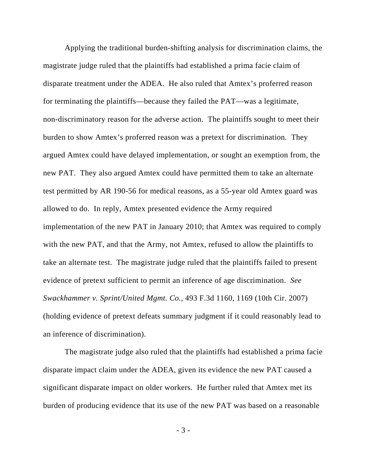Applying the traditional burden-shifting analysis for discrimination claims, the magistrate judge ruled that the plaintiffs had established a prima facie claim of disparate treatment under the ADEA. He also ruled that Amtex's proferred reason for terminating the plaintiffs—because they failed the PAT—was a legitimate, non-discriminatory reason for the adverse action. The plaintiffs sought to meet their burden to show Amtex's proferred reason was a pretext for discrimination. They argued Amtex could have delayed implementation, or sought an exemption from, the new PAT. They also argued Amtex could have permitted them to take an alternate test permitted by AR 190-56 for medical reasons, as a 55-year old Amtex guard was allowed to do. In reply, Amtex presented evidence the Army required implementation of the new PAT in January 2010; that Amtex was required to comply with the new PAT, and that the Army, not Amtex, refused to allow the plaintiffs to take an alternate test. The magistrate judge ruled that the plaintiffs failed to present evidence of pretext sufficient to permit an inference of age discrimination. *See Swackhammer v. Sprint/United Mgmt. Co.*, 493 F.3d 1160, 1169 (10th Cir. 2007) (holding evidence of pretext defeats summary judgment if it could reasonably lead to an inference of discrimination).

 The magistrate judge also ruled that the plaintiffs had established a prima facie disparate impact claim under the ADEA, given its evidence the new PAT caused a significant disparate impact on older workers. He further ruled that Amtex met its burden of producing evidence that its use of the new PAT was based on a reasonable

- 3 -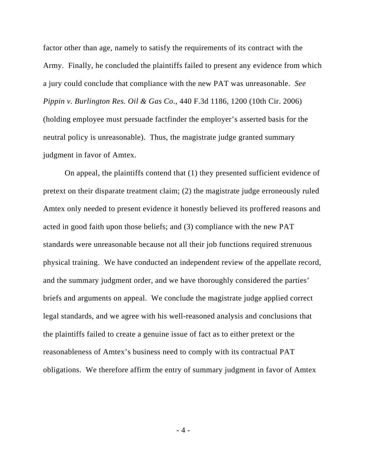factor other than age, namely to satisfy the requirements of its contract with the Army. Finally, he concluded the plaintiffs failed to present any evidence from which a jury could conclude that compliance with the new PAT was unreasonable. *See Pippin v. Burlington Res. Oil & Gas Co*., 440 F.3d 1186, 1200 (10th Cir. 2006) (holding employee must persuade factfinder the employer's asserted basis for the neutral policy is unreasonable). Thus, the magistrate judge granted summary judgment in favor of Amtex.

 On appeal, the plaintiffs contend that (1) they presented sufficient evidence of pretext on their disparate treatment claim; (2) the magistrate judge erroneously ruled Amtex only needed to present evidence it honestly believed its proffered reasons and acted in good faith upon those beliefs; and (3) compliance with the new PAT standards were unreasonable because not all their job functions required strenuous physical training. We have conducted an independent review of the appellate record, and the summary judgment order, and we have thoroughly considered the parties' briefs and arguments on appeal. We conclude the magistrate judge applied correct legal standards, and we agree with his well-reasoned analysis and conclusions that the plaintiffs failed to create a genuine issue of fact as to either pretext or the reasonableness of Amtex's business need to comply with its contractual PAT obligations. We therefore affirm the entry of summary judgment in favor of Amtex